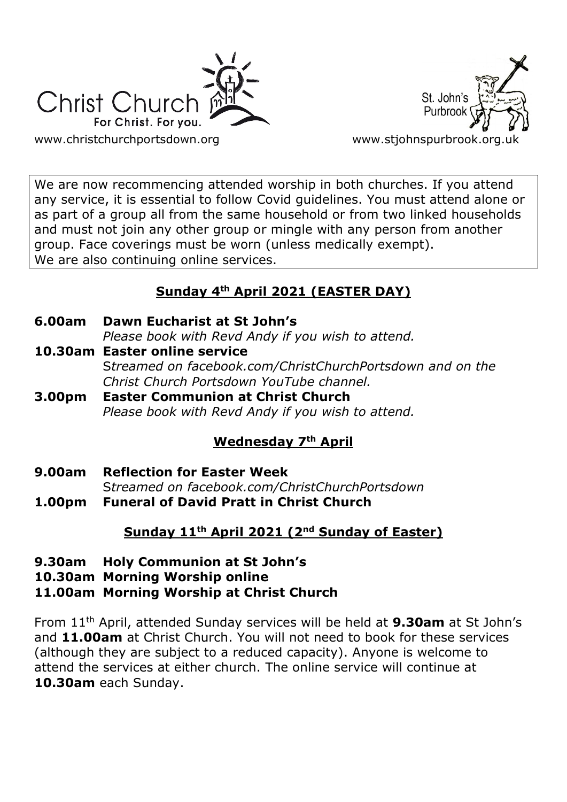



We are now recommencing attended worship in both churches. If you attend any service, it is essential to follow Covid guidelines. You must attend alone or as part of a group all from the same household or from two linked households and must not join any other group or mingle with any person from another group. Face coverings must be worn (unless medically exempt). We are also continuing online services.

# **Sunday 4th April 2021 (EASTER DAY)**

**6.00am Dawn Eucharist at St John's**

*Please book with Revd Andy if you wish to attend.*

- **10.30am Easter online service** S*treamed on [facebook.com/ChristChurchPortsdown](http://www.facebook.com/ChristChurchPortsdown%20at%2010.30) and on the Christ Church Portsdown YouTube channel.*
- **3.00pm Easter Communion at Christ Church** *Please book with Revd Andy if you wish to attend.*

# **Wednesday 7th April**

- **9.00am Reflection for Easter Week** S*treamed on [facebook.com/ChristChurchPortsdown](http://www.facebook.com/ChristChurchPortsdown%20at%2010.30)*
- **1.00pm Funeral of David Pratt in Christ Church**

# **Sunday 11th April 2021 (2nd Sunday of Easter)**

- **9.30am Holy Communion at St John's**
- **10.30am Morning Worship online**

# **11.00am Morning Worship at Christ Church**

From 11th April, attended Sunday services will be held at **9.30am** at St John's and **11.00am** at Christ Church. You will not need to book for these services (although they are subject to a reduced capacity). Anyone is welcome to attend the services at either church. The online service will continue at **10.30am** each Sunday.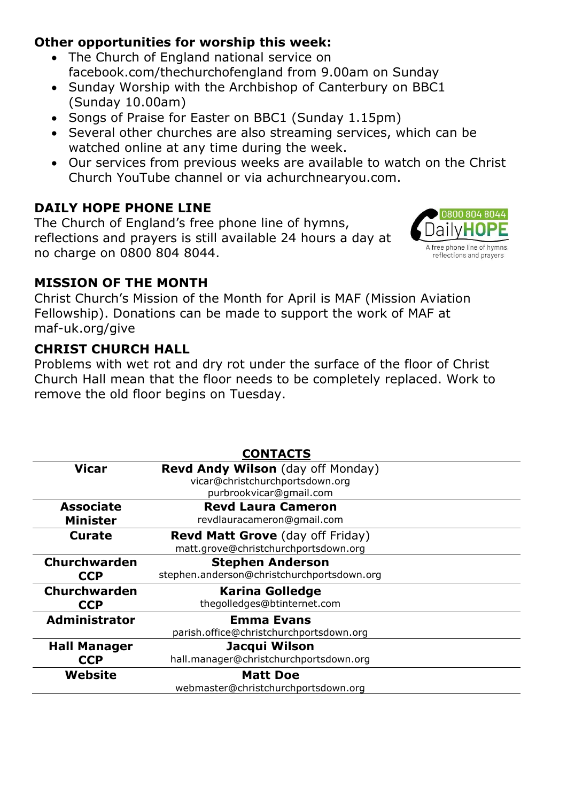# **Other opportunities for worship this week:**

- The Church of England national service on facebook.com/thechurchofengland from 9.00am on Sunday
- Sunday Worship with the Archbishop of Canterbury on BBC1 (Sunday 10.00am)
- Songs of Praise for Easter on BBC1 (Sunday 1.15pm)
- Several other churches are also streaming services, which can be watched online at any time during the week.
- Our services from previous weeks are available to watch on the Christ Church YouTube channel or via achurchnearyou.com.

# **DAILY HOPE PHONE LINE**

The Church of England's free phone line of hymns, reflections and prayers is still available 24 hours a day at no charge on 0800 804 8044.



## **MISSION OF THE MONTH**

Christ Church's Mission of the Month for April is MAF (Mission Aviation Fellowship). Donations can be made to support the work of MAF at maf-uk.org/give

## **CHRIST CHURCH HALL**

Problems with wet rot and dry rot under the surface of the floor of Christ Church Hall mean that the floor needs to be completely replaced. Work to remove the old floor begins on Tuesday.

| <b>CONTACTS</b>      |                                            |
|----------------------|--------------------------------------------|
| Vicar                | <b>Revd Andy Wilson</b> (day off Monday)   |
|                      | vicar@christchurchportsdown.org            |
|                      | purbrookvicar@gmail.com                    |
| <b>Associate</b>     | <b>Revd Laura Cameron</b>                  |
| <b>Minister</b>      | revdlauracameron@gmail.com                 |
| <b>Curate</b>        | <b>Revd Matt Grove</b> (day off Friday)    |
|                      | matt.grove@christchurchportsdown.org       |
| <b>Churchwarden</b>  | <b>Stephen Anderson</b>                    |
| <b>CCP</b>           | stephen.anderson@christchurchportsdown.org |
| <b>Churchwarden</b>  | <b>Karina Golledge</b>                     |
| <b>CCP</b>           | thegolledges@btinternet.com                |
| <b>Administrator</b> | <b>Emma Evans</b>                          |
|                      | parish.office@christchurchportsdown.org    |
| <b>Hall Manager</b>  | Jacqui Wilson                              |
| <b>CCP</b>           | hall.manager@christchurchportsdown.org     |
| Website              | <b>Matt Doe</b>                            |
|                      | webmaster@christchurchportsdown.org        |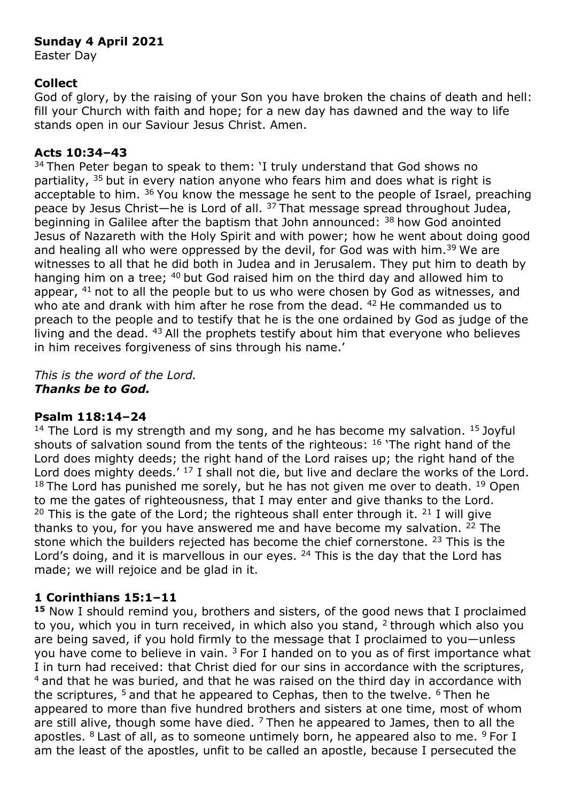#### **Sunday 4 April 2021**

Easter Day

### **Collect**

God of glory, by the raising of your Son you have broken the chains of death and hell: fill your Church with faith and hope; for a new day has dawned and the way to life stands open in our Saviour Jesus Christ. Amen.

#### **Acts 10:34–43**

 $34$  Then Peter began to speak to them: 'I truly understand that God shows no partiality,  $35$  but in every nation anyone who fears him and does what is right is acceptable to him. <sup>36</sup> You know the message he sent to the people of Israel, preaching peace by Jesus Christ—he is Lord of all. <sup>37</sup>That message spread throughout Judea, beginning in Galilee after the baptism that John announced:  $38$  how God anointed Jesus of Nazareth with the Holy Spirit and with power; how he went about doing good and healing all who were oppressed by the devil, for God was with him.<sup>39</sup> We are witnesses to all that he did both in Judea and in Jerusalem. They put him to death by hanging him on a tree; <sup>40</sup> but God raised him on the third day and allowed him to appear,  $41$  not to all the people but to us who were chosen by God as witnesses, and who ate and drank with him after he rose from the dead. <sup>42</sup> He commanded us to preach to the people and to testify that he is the one ordained by God as judge of the living and the dead.  $43$  All the prophets testify about him that everyone who believes in him receives forgiveness of sins through his name.'

*This is the word of the Lord. Thanks be to God.*

### **Psalm 118:14–24**

<sup>14</sup> The Lord is my strength and my song, and he has become my salvation. <sup>15</sup> Joyful shouts of salvation sound from the tents of the righteous: <sup>16</sup> 'The right hand of the Lord does mighty deeds; the right hand of the Lord raises up; the right hand of the Lord does mighty deeds.' <sup>17</sup> I shall not die, but live and declare the works of the Lord.  $18$  The Lord has punished me sorely, but he has not given me over to death.  $19$  Open to me the gates of righteousness, that I may enter and give thanks to the Lord. <sup>20</sup> This is the gate of the Lord; the righteous shall enter through it.  $21$  I will give thanks to you, for you have answered me and have become my salvation.  $22$  The stone which the builders rejected has become the chief cornerstone. <sup>23</sup> This is the Lord's doing, and it is marvellous in our eyes. <sup>24</sup> This is the day that the Lord has made; we will rejoice and be glad in it.

### **1 Corinthians 15:1–11**

**<sup>15</sup>** Now I should remind you, brothers and sisters, of the good news that I proclaimed to you, which you in turn received, in which also you stand,  $2$  through which also you are being saved, if you hold firmly to the message that I proclaimed to you—unless you have come to believe in vain.  $3$  For I handed on to you as of first importance what I in turn had received: that Christ died for our sins in accordance with the scriptures,  $4$  and that he was buried, and that he was raised on the third day in accordance with the scriptures,  $5$  and that he appeared to Cephas, then to the twelve.  $6$  Then he appeared to more than five hundred brothers and sisters at one time, most of whom are still alive, though some have died.  $7$  Then he appeared to James, then to all the apostles.  $8$  Last of all, as to someone untimely born, he appeared also to me.  $9$  For I am the least of the apostles, unfit to be called an apostle, because I persecuted the